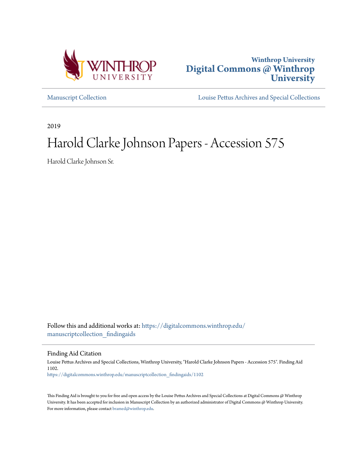



[Manuscript Collection](https://digitalcommons.winthrop.edu/manuscriptcollection_findingaids?utm_source=digitalcommons.winthrop.edu%2Fmanuscriptcollection_findingaids%2F1102&utm_medium=PDF&utm_campaign=PDFCoverPages) [Louise Pettus Archives and Special Collections](https://digitalcommons.winthrop.edu/pettus_archives?utm_source=digitalcommons.winthrop.edu%2Fmanuscriptcollection_findingaids%2F1102&utm_medium=PDF&utm_campaign=PDFCoverPages)

2019

# Harold Clarke Johnson Papers - Accession 575

Harold Clarke Johnson Sr.

Follow this and additional works at: [https://digitalcommons.winthrop.edu/](https://digitalcommons.winthrop.edu/manuscriptcollection_findingaids?utm_source=digitalcommons.winthrop.edu%2Fmanuscriptcollection_findingaids%2F1102&utm_medium=PDF&utm_campaign=PDFCoverPages) [manuscriptcollection\\_findingaids](https://digitalcommons.winthrop.edu/manuscriptcollection_findingaids?utm_source=digitalcommons.winthrop.edu%2Fmanuscriptcollection_findingaids%2F1102&utm_medium=PDF&utm_campaign=PDFCoverPages)

Finding Aid Citation

Louise Pettus Archives and Special Collections, Winthrop University, "Harold Clarke Johnson Papers - Accession 575". Finding Aid 1102. [https://digitalcommons.winthrop.edu/manuscriptcollection\\_findingaids/1102](https://digitalcommons.winthrop.edu/manuscriptcollection_findingaids/1102?utm_source=digitalcommons.winthrop.edu%2Fmanuscriptcollection_findingaids%2F1102&utm_medium=PDF&utm_campaign=PDFCoverPages)

This Finding Aid is brought to you for free and open access by the Louise Pettus Archives and Special Collections at Digital Commons @ Winthrop University. It has been accepted for inclusion in Manuscript Collection by an authorized administrator of Digital Commons @ Winthrop University. For more information, please contact [bramed@winthrop.edu.](mailto:bramed@winthrop.edu)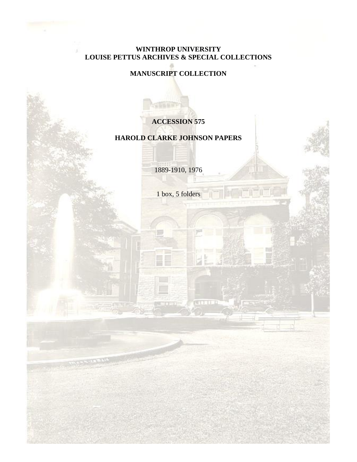## **WINTHROP UNIVERSITY LOUISE PETTUS ARCHIVES & SPECIAL COLLECTIONS**

## **MANUSCRIPT COLLECTION**

## **ACCESSION 575**

## **HAROLD CLARKE JOHNSON PAPERS**

1889-1910, 1976

1 box, 5 folders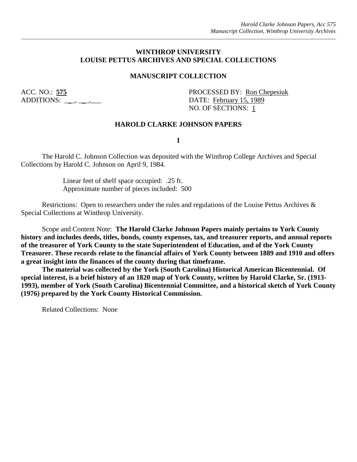#### **WINTHROP UNIVERSITY LOUISE PETTUS ARCHIVES AND SPECIAL COLLECTIONS**

#### **MANUSCRIPT COLLECTION**

ADDITIONS:  $\qquad \qquad , \qquad$ 

ACC. NO.: 575 PROCESSED BY: Ron Chepesiuk NO. OF SECTIONS: 1

#### **HAROLD CLARKE JOHNSON PAPERS**

**I**

The Harold C. Johnson Collection was deposited with the Winthrop College Archives and Special Collections by Harold C. Johnson on April 9, 1984.

> Linear feet of shelf space occupied: .25 ft. Approximate number of pieces included: 500

Restrictions: Open to researchers under the rules and regulations of the Louise Pettus Archives & Special Collections at Winthrop University.

Scope and Content Note: **The Harold Clarke Johnson Papers mainly pertains to York County history and includes deeds, titles, bonds, county expenses, tax, and treasurer reports, and annual reports of the treasurer of York County to the state Superintendent of Education, and of the York County Treasurer. These records relate to the financial affairs of York County between 1889 and 1910 and offers a great insight into the finances of the county during that timeframe.**

**The material was collected by the York (South Carolina) Historical American Bicentennial. Of special interest, is a brief history of an 1820 map of York County, written by Harold Clarke, Sr. (1913- 1993), member of York (South Carolina) Bicentennial Committee, and a historical sketch of York County (1976) prepared by the York County Historical Commission.**

Related Collections: None